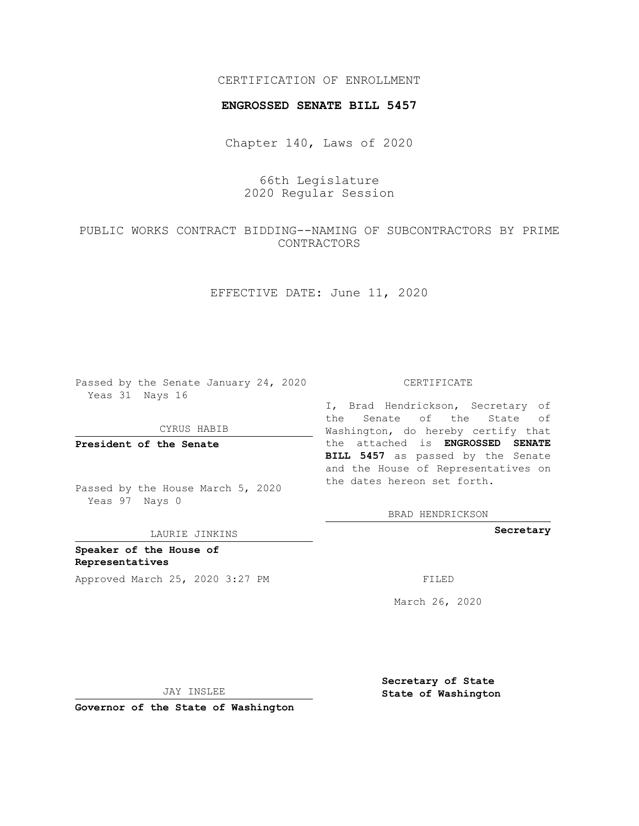## CERTIFICATION OF ENROLLMENT

## **ENGROSSED SENATE BILL 5457**

Chapter 140, Laws of 2020

66th Legislature 2020 Regular Session

PUBLIC WORKS CONTRACT BIDDING--NAMING OF SUBCONTRACTORS BY PRIME CONTRACTORS

EFFECTIVE DATE: June 11, 2020

Passed by the Senate January 24, 2020 Yeas 31 Nays 16

CYRUS HABIB

**President of the Senate**

Passed by the House March 5, 2020 Yeas 97 Nays 0

LAURIE JINKINS

**Speaker of the House of Representatives** Approved March 25, 2020 3:27 PM

## CERTIFICATE

I, Brad Hendrickson, Secretary of the Senate of the State of Washington, do hereby certify that the attached is **ENGROSSED SENATE BILL 5457** as passed by the Senate and the House of Representatives on the dates hereon set forth.

BRAD HENDRICKSON

**Secretary**

March 26, 2020

JAY INSLEE

**Governor of the State of Washington**

**Secretary of State State of Washington**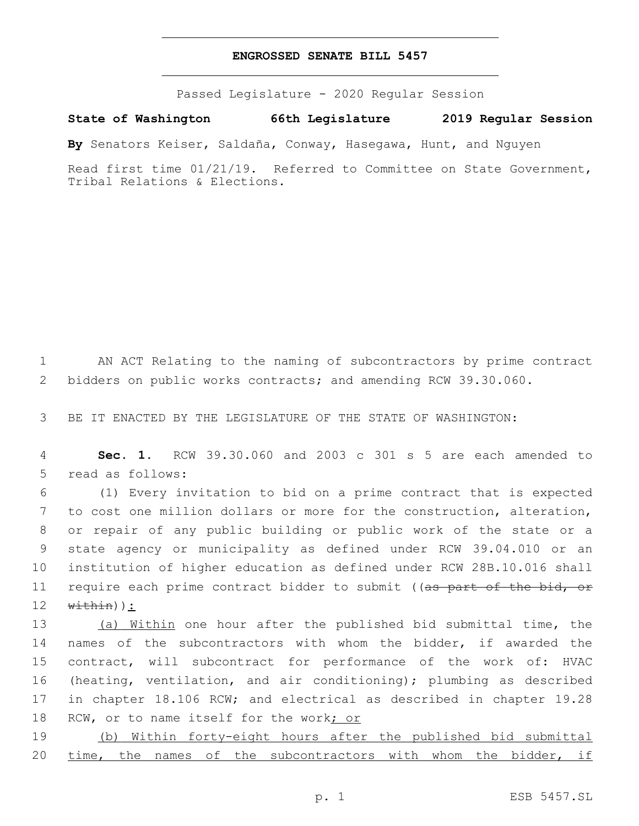## **ENGROSSED SENATE BILL 5457**

Passed Legislature - 2020 Regular Session

**State of Washington 66th Legislature 2019 Regular Session**

**By** Senators Keiser, Saldaña, Conway, Hasegawa, Hunt, and Nguyen

Read first time 01/21/19. Referred to Committee on State Government, Tribal Relations & Elections.

1 AN ACT Relating to the naming of subcontractors by prime contract 2 bidders on public works contracts; and amending RCW 39.30.060.

3 BE IT ENACTED BY THE LEGISLATURE OF THE STATE OF WASHINGTON:

4 **Sec. 1.** RCW 39.30.060 and 2003 c 301 s 5 are each amended to 5 read as follows:

 (1) Every invitation to bid on a prime contract that is expected to cost one million dollars or more for the construction, alteration, or repair of any public building or public work of the state or a state agency or municipality as defined under RCW 39.04.010 or an institution of higher education as defined under RCW 28B.10.016 shall 11 require each prime contract bidder to submit ((as part of the bid, or  $\text{within})$  :

13 (a) Within one hour after the published bid submittal time, the names of the subcontractors with whom the bidder, if awarded the contract, will subcontract for performance of the work of: HVAC (heating, ventilation, and air conditioning); plumbing as described in chapter 18.106 RCW; and electrical as described in chapter 19.28 18 RCW, or to name itself for the work; or

19 (b) Within forty-eight hours after the published bid submittal 20 time, the names of the subcontractors with whom the bidder, if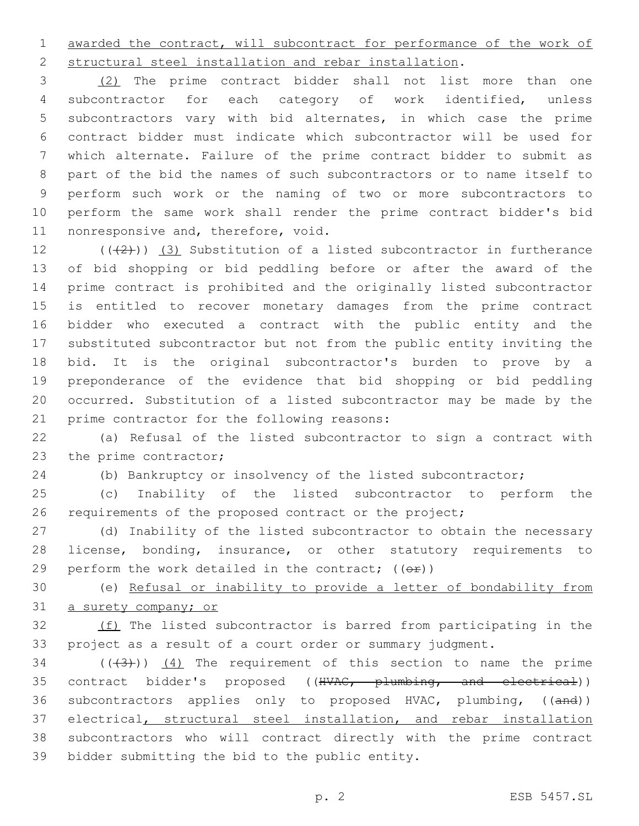awarded the contract, will subcontract for performance of the work of structural steel installation and rebar installation.

 (2) The prime contract bidder shall not list more than one subcontractor for each category of work identified, unless subcontractors vary with bid alternates, in which case the prime contract bidder must indicate which subcontractor will be used for which alternate. Failure of the prime contract bidder to submit as part of the bid the names of such subcontractors or to name itself to perform such work or the naming of two or more subcontractors to perform the same work shall render the prime contract bidder's bid 11 nonresponsive and, therefore, void.

 $((+2+))$   $(3)$  Substitution of a listed subcontractor in furtherance of bid shopping or bid peddling before or after the award of the prime contract is prohibited and the originally listed subcontractor is entitled to recover monetary damages from the prime contract bidder who executed a contract with the public entity and the substituted subcontractor but not from the public entity inviting the bid. It is the original subcontractor's burden to prove by a preponderance of the evidence that bid shopping or bid peddling occurred. Substitution of a listed subcontractor may be made by the 21 prime contractor for the following reasons:

 (a) Refusal of the listed subcontractor to sign a contract with 23 the prime contractor;

(b) Bankruptcy or insolvency of the listed subcontractor;

 (c) Inability of the listed subcontractor to perform the 26 requirements of the proposed contract or the project;

 (d) Inability of the listed subcontractor to obtain the necessary license, bonding, insurance, or other statutory requirements to 29 perform the work detailed in the contract;  $((\theta \cdot \hat{r}))$ 

 (e) Refusal or inability to provide a letter of bondability from 31 a surety company; or

32 (f) The listed subcontractor is barred from participating in the project as a result of a court order or summary judgment.

 ( $(\overline{3})$ )  $(4)$  The requirement of this section to name the prime 35 contract bidder's proposed ((HVAC, plumbing, and electrical)) 36 subcontractors applies only to proposed HVAC, plumbing, ((and)) 37 electrical, structural steel installation, and rebar installation subcontractors who will contract directly with the prime contract 39 bidder submitting the bid to the public entity.